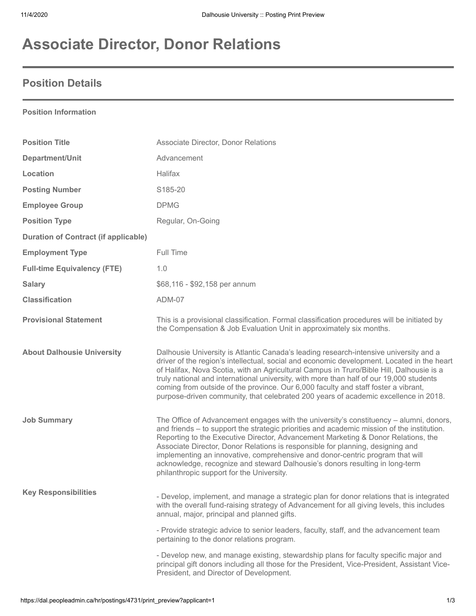# **Associate Director, Donor Relations**

### **Position Details**

#### **Position Information**

| <b>Position Title</b>                       | Associate Director, Donor Relations                                                                                                                                                                                                                                                                                                                                                                                                                                                                                                                                       |
|---------------------------------------------|---------------------------------------------------------------------------------------------------------------------------------------------------------------------------------------------------------------------------------------------------------------------------------------------------------------------------------------------------------------------------------------------------------------------------------------------------------------------------------------------------------------------------------------------------------------------------|
| Department/Unit                             | Advancement                                                                                                                                                                                                                                                                                                                                                                                                                                                                                                                                                               |
| Location                                    | Halifax                                                                                                                                                                                                                                                                                                                                                                                                                                                                                                                                                                   |
| <b>Posting Number</b>                       | S185-20                                                                                                                                                                                                                                                                                                                                                                                                                                                                                                                                                                   |
| <b>Employee Group</b>                       | <b>DPMG</b>                                                                                                                                                                                                                                                                                                                                                                                                                                                                                                                                                               |
| <b>Position Type</b>                        | Regular, On-Going                                                                                                                                                                                                                                                                                                                                                                                                                                                                                                                                                         |
| <b>Duration of Contract (if applicable)</b> |                                                                                                                                                                                                                                                                                                                                                                                                                                                                                                                                                                           |
| <b>Employment Type</b>                      | Full Time                                                                                                                                                                                                                                                                                                                                                                                                                                                                                                                                                                 |
| <b>Full-time Equivalency (FTE)</b>          | 1.0                                                                                                                                                                                                                                                                                                                                                                                                                                                                                                                                                                       |
| <b>Salary</b>                               | \$68,116 - \$92,158 per annum                                                                                                                                                                                                                                                                                                                                                                                                                                                                                                                                             |
| <b>Classification</b>                       | ADM-07                                                                                                                                                                                                                                                                                                                                                                                                                                                                                                                                                                    |
| <b>Provisional Statement</b>                | This is a provisional classification. Formal classification procedures will be initiated by<br>the Compensation & Job Evaluation Unit in approximately six months.                                                                                                                                                                                                                                                                                                                                                                                                        |
| <b>About Dalhousie University</b>           | Dalhousie University is Atlantic Canada's leading research-intensive university and a<br>driver of the region's intellectual, social and economic development. Located in the heart<br>of Halifax, Nova Scotia, with an Agricultural Campus in Truro/Bible Hill, Dalhousie is a<br>truly national and international university, with more than half of our 19,000 students<br>coming from outside of the province. Our 6,000 faculty and staff foster a vibrant,<br>purpose-driven community, that celebrated 200 years of academic excellence in 2018.                   |
| <b>Job Summary</b>                          | The Office of Advancement engages with the university's constituency - alumni, donors,<br>and friends - to support the strategic priorities and academic mission of the institution.<br>Reporting to the Executive Director, Advancement Marketing & Donor Relations, the<br>Associate Director, Donor Relations is responsible for planning, designing and<br>implementing an innovative, comprehensive and donor-centric program that will<br>acknowledge, recognize and steward Dalhousie's donors resulting in long-term<br>philanthropic support for the University. |
| <b>Key Responsibilities</b>                 | - Develop, implement, and manage a strategic plan for donor relations that is integrated<br>with the overall fund-raising strategy of Advancement for all giving levels, this includes<br>annual, major, principal and planned gifts.                                                                                                                                                                                                                                                                                                                                     |
|                                             | - Provide strategic advice to senior leaders, faculty, staff, and the advancement team<br>pertaining to the donor relations program.                                                                                                                                                                                                                                                                                                                                                                                                                                      |
|                                             | - Develop new, and manage existing, stewardship plans for faculty specific major and<br>principal gift donors including all those for the President, Vice-President, Assistant Vice-<br>President, and Director of Development.                                                                                                                                                                                                                                                                                                                                           |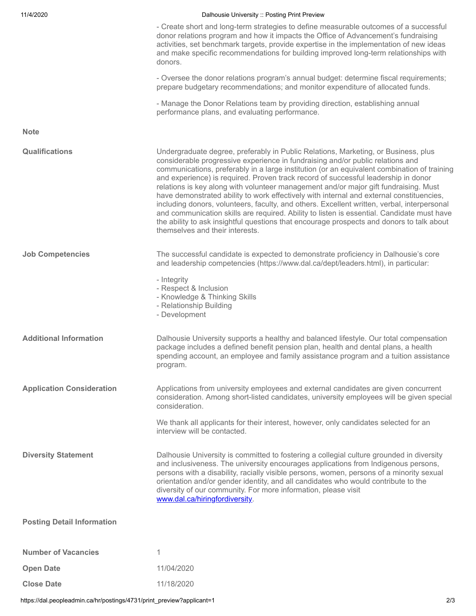| 11/4/2020                         | Dalhousie University :: Posting Print Preview                                                                                                                                                                                                                                                                                                                                                                                                                                                                                                                                                                                                                                                                                                                                                                                                                              |
|-----------------------------------|----------------------------------------------------------------------------------------------------------------------------------------------------------------------------------------------------------------------------------------------------------------------------------------------------------------------------------------------------------------------------------------------------------------------------------------------------------------------------------------------------------------------------------------------------------------------------------------------------------------------------------------------------------------------------------------------------------------------------------------------------------------------------------------------------------------------------------------------------------------------------|
|                                   | - Create short and long-term strategies to define measurable outcomes of a successful<br>donor relations program and how it impacts the Office of Advancement's fundraising<br>activities, set benchmark targets, provide expertise in the implementation of new ideas<br>and make specific recommendations for building improved long-term relationships with<br>donors.                                                                                                                                                                                                                                                                                                                                                                                                                                                                                                  |
|                                   | - Oversee the donor relations program's annual budget: determine fiscal requirements;<br>prepare budgetary recommendations; and monitor expenditure of allocated funds.                                                                                                                                                                                                                                                                                                                                                                                                                                                                                                                                                                                                                                                                                                    |
|                                   | - Manage the Donor Relations team by providing direction, establishing annual<br>performance plans, and evaluating performance.                                                                                                                                                                                                                                                                                                                                                                                                                                                                                                                                                                                                                                                                                                                                            |
| <b>Note</b>                       |                                                                                                                                                                                                                                                                                                                                                                                                                                                                                                                                                                                                                                                                                                                                                                                                                                                                            |
| Qualifications                    | Undergraduate degree, preferably in Public Relations, Marketing, or Business, plus<br>considerable progressive experience in fundraising and/or public relations and<br>communications, preferably in a large institution (or an equivalent combination of training<br>and experience) is required. Proven track record of successful leadership in donor<br>relations is key along with volunteer management and/or major gift fundraising. Must<br>have demonstrated ability to work effectively with internal and external constituencies,<br>including donors, volunteers, faculty, and others. Excellent written, verbal, interpersonal<br>and communication skills are required. Ability to listen is essential. Candidate must have<br>the ability to ask insightful questions that encourage prospects and donors to talk about<br>themselves and their interests. |
| <b>Job Competencies</b>           | The successful candidate is expected to demonstrate proficiency in Dalhousie's core<br>and leadership competencies (https://www.dal.ca/dept/leaders.html), in particular:                                                                                                                                                                                                                                                                                                                                                                                                                                                                                                                                                                                                                                                                                                  |
|                                   | - Integrity<br>- Respect & Inclusion<br>- Knowledge & Thinking Skills<br>- Relationship Building<br>- Development                                                                                                                                                                                                                                                                                                                                                                                                                                                                                                                                                                                                                                                                                                                                                          |
| <b>Additional Information</b>     | Dalhousie University supports a healthy and balanced lifestyle. Our total compensation<br>package includes a defined benefit pension plan, health and dental plans, a health<br>spending account, an employee and family assistance program and a tuition assistance<br>program.                                                                                                                                                                                                                                                                                                                                                                                                                                                                                                                                                                                           |
| <b>Application Consideration</b>  | Applications from university employees and external candidates are given concurrent<br>consideration. Among short-listed candidates, university employees will be given special<br>consideration.                                                                                                                                                                                                                                                                                                                                                                                                                                                                                                                                                                                                                                                                          |
|                                   | We thank all applicants for their interest, however, only candidates selected for an<br>interview will be contacted.                                                                                                                                                                                                                                                                                                                                                                                                                                                                                                                                                                                                                                                                                                                                                       |
| <b>Diversity Statement</b>        | Dalhousie University is committed to fostering a collegial culture grounded in diversity<br>and inclusiveness. The university encourages applications from Indigenous persons,<br>persons with a disability, racially visible persons, women, persons of a minority sexual<br>orientation and/or gender identity, and all candidates who would contribute to the<br>diversity of our community. For more information, please visit<br>www.dal.ca/hiringfordiversity.                                                                                                                                                                                                                                                                                                                                                                                                       |
| <b>Posting Detail Information</b> |                                                                                                                                                                                                                                                                                                                                                                                                                                                                                                                                                                                                                                                                                                                                                                                                                                                                            |
| <b>Number of Vacancies</b>        | 1                                                                                                                                                                                                                                                                                                                                                                                                                                                                                                                                                                                                                                                                                                                                                                                                                                                                          |
| <b>Open Date</b>                  | 11/04/2020                                                                                                                                                                                                                                                                                                                                                                                                                                                                                                                                                                                                                                                                                                                                                                                                                                                                 |
| <b>Close Date</b>                 | 11/18/2020                                                                                                                                                                                                                                                                                                                                                                                                                                                                                                                                                                                                                                                                                                                                                                                                                                                                 |